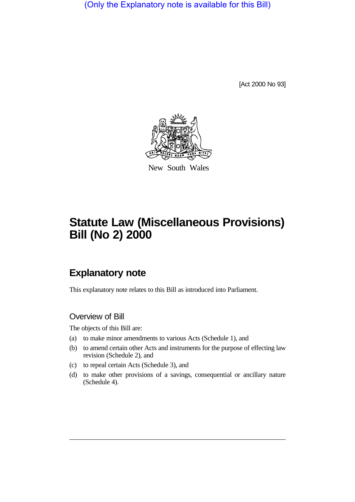(Only the Explanatory note is available for this Bill)

[Act 2000 No 93]



New South Wales

# **Statute Law (Miscellaneous Provisions) Bill (No 2) 2000**

# **Explanatory note**

This explanatory note relates to this Bill as introduced into Parliament.

## Overview of Bill

The objects of this Bill are:

- (a) to make minor amendments to various Acts (Schedule 1), and
- (b) to amend certain other Acts and instruments for the purpose of effecting law revision (Schedule 2), and
- (c) to repeal certain Acts (Schedule 3), and
- (d) to make other provisions of a savings, consequential or ancillary nature (Schedule 4).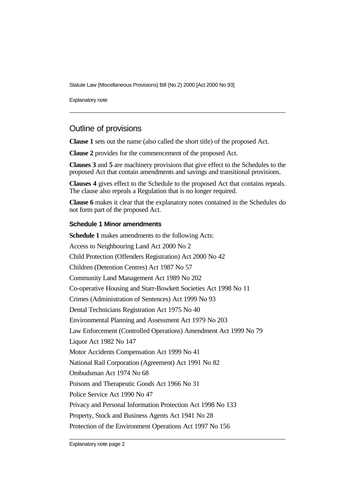Statute Law (Miscellaneous Provisions) Bill (No 2) 2000 [Act 2000 No 93]

Explanatory note

# Outline of provisions

**Clause 1** sets out the name (also called the short title) of the proposed Act.

**Clause 2** provides for the commencement of the proposed Act.

**Clauses 3** and **5** are machinery provisions that give effect to the Schedules to the proposed Act that contain amendments and savings and transitional provisions.

**Clauses 4** gives effect to the Schedule to the proposed Act that contains repeals. The clause also repeals a Regulation that is no longer required.

**Clause 6** makes it clear that the explanatory notes contained in the Schedules do not form part of the proposed Act.

#### **Schedule 1 Minor amendments**

**Schedule 1** makes amendments to the following Acts: Access to Neighbouring Land Act 2000 No 2 Child Protection (Offenders Registration) Act 2000 No 42 Children (Detention Centres) Act 1987 No 57 Community Land Management Act 1989 No 202 Co-operative Housing and Starr-Bowkett Societies Act 1998 No 11 Crimes (Administration of Sentences) Act 1999 No 93 Dental Technicians Registration Act 1975 No 40 Environmental Planning and Assessment Act 1979 No 203 Law Enforcement (Controlled Operations) Amendment Act 1999 No 79 Liquor Act 1982 No 147 Motor Accidents Compensation Act 1999 No 41 National Rail Corporation (Agreement) Act 1991 No 82 Ombudsman Act 1974 No 68 Poisons and Therapeutic Goods Act 1966 No 31 Police Service Act 1990 No 47 Privacy and Personal Information Protection Act 1998 No 133 Property, Stock and Business Agents Act 1941 No 28 Protection of the Environment Operations Act 1997 No 156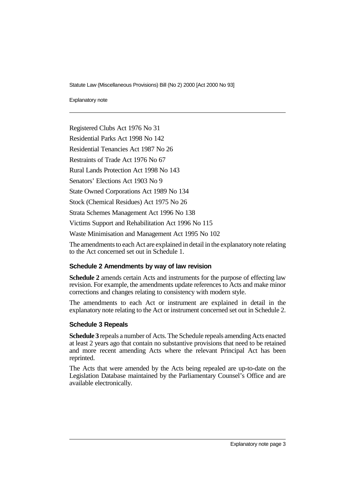Statute Law (Miscellaneous Provisions) Bill (No 2) 2000 [Act 2000 No 93]

Explanatory note

Registered Clubs Act 1976 No 31

Residential Parks Act 1998 No 142

Residential Tenancies Act 1987 No 26

Restraints of Trade Act 1976 No 67

Rural Lands Protection Act 1998 No 143

Senators' Elections Act 1903 No 9

State Owned Corporations Act 1989 No 134

Stock (Chemical Residues) Act 1975 No 26

Strata Schemes Management Act 1996 No 138

Victims Support and Rehabilitation Act 1996 No 115

Waste Minimisation and Management Act 1995 No 102

The amendments to each Act are explained in detail in the explanatory note relating to the Act concerned set out in Schedule 1.

#### **Schedule 2 Amendments by way of law revision**

**Schedule 2** amends certain Acts and instruments for the purpose of effecting law revision. For example, the amendments update references to Acts and make minor corrections and changes relating to consistency with modern style.

The amendments to each Act or instrument are explained in detail in the explanatory note relating to the Act or instrument concerned set out in Schedule 2.

#### **Schedule 3 Repeals**

**Schedule 3** repeals a number of Acts. The Schedule repeals amending Acts enacted at least 2 years ago that contain no substantive provisions that need to be retained and more recent amending Acts where the relevant Principal Act has been reprinted.

The Acts that were amended by the Acts being repealed are up-to-date on the Legislation Database maintained by the Parliamentary Counsel's Office and are available electronically.